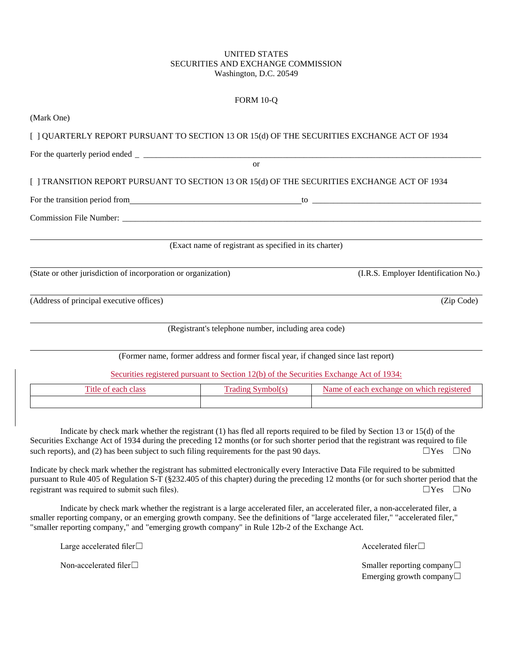## UNITED STATES SECURITIES AND EXCHANGE COMMISSION Washington, D.C. 20549

 $FODM 10-Q$ 

|                                                                                                                                                                                                                               | 1 ONU 10-O                                                                              |                                           |
|-------------------------------------------------------------------------------------------------------------------------------------------------------------------------------------------------------------------------------|-----------------------------------------------------------------------------------------|-------------------------------------------|
| (Mark One)                                                                                                                                                                                                                    |                                                                                         |                                           |
| [ ] QUARTERLY REPORT PURSUANT TO SECTION 13 OR 15(d) OF THE SECURITIES EXCHANGE ACT OF 1934                                                                                                                                   |                                                                                         |                                           |
|                                                                                                                                                                                                                               |                                                                                         |                                           |
|                                                                                                                                                                                                                               | $\alpha$                                                                                |                                           |
| [ ] TRANSITION REPORT PURSUANT TO SECTION 13 OR 15(d) OF THE SECURITIES EXCHANGE ACT OF 1934                                                                                                                                  |                                                                                         |                                           |
| For the transition period from the transition period from the state of the contract of the transition period from the state of the state of the state of the state of the state of the state of the state of the state of the |                                                                                         |                                           |
|                                                                                                                                                                                                                               |                                                                                         |                                           |
|                                                                                                                                                                                                                               | (Exact name of registrant as specified in its charter)                                  |                                           |
| (State or other jurisdiction of incorporation or organization)                                                                                                                                                                |                                                                                         | (I.R.S. Employer Identification No.)      |
| (Address of principal executive offices)                                                                                                                                                                                      |                                                                                         | (Zip Code)                                |
|                                                                                                                                                                                                                               | (Registrant's telephone number, including area code)                                    |                                           |
|                                                                                                                                                                                                                               | (Former name, former address and former fiscal year, if changed since last report)      |                                           |
|                                                                                                                                                                                                                               | Securities registered pursuant to Section 12(b) of the Securities Exchange Act of 1934: |                                           |
| Title of each class                                                                                                                                                                                                           | <b>Trading Symbol(s)</b>                                                                | Name of each exchange on which registered |

Indicate by check mark whether the registrant (1) has fled all reports required to be filed by Section 13 or 15(d) of the Securities Exchange Act of 1934 during the preceding 12 months (or for such shorter period that the registrant was required to file such reports), and (2) has been subject to such filing requirements for the past 90 days.  $\Box$  Yes  $\Box$  No

Indicate by check mark whether the registrant has submitted electronically every Interactive Data File required to be submitted pursuant to Rule 405 of Regulation S-T (§232.405 of this chapter) during the preceding 12 months (or for such shorter period that the registrant was required to submit such files).  $\square Y$ es  $\square$ No

Indicate by check mark whether the registrant is a large accelerated filer, an accelerated filer, a non-accelerated filer, a smaller reporting company, or an emerging growth company. See the definitions of "large accelerated filer," "accelerated filer," "smaller reporting company," and "emerging growth company" in Rule 12b-2 of the Exchange Act.

Large accelerated filer□ and the set of the set of the set of the set of the Accelerated filer□

Non-accelerated filer□ smaller reporting company□ Emerging growth company☐